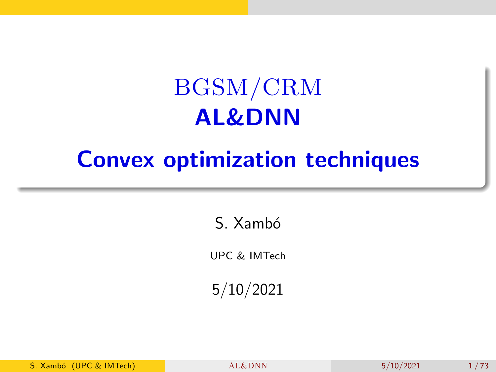## BGSM/CRM AL&DNN

## <span id="page-0-0"></span>Convex optimization techniques

S. Xambó

UPC & IMTech

5/10/2021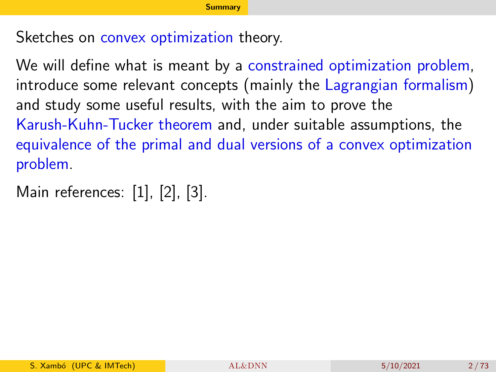<span id="page-1-0"></span>Sketches on convex optimization theory.

We will define what is meant by a constrained optimization problem, introduce some relevant concepts (mainly the Lagrangian formalism) and study some useful results, with the aim to prove the Karush-Kuhn-Tucker theorem and, under suitable assumptions, the equivalence of the primal and dual versions of a convex optimization problem.

Main references: [\[1\]](#page-69-0), [\[2\]](#page-69-1), [\[3\]](#page-70-0).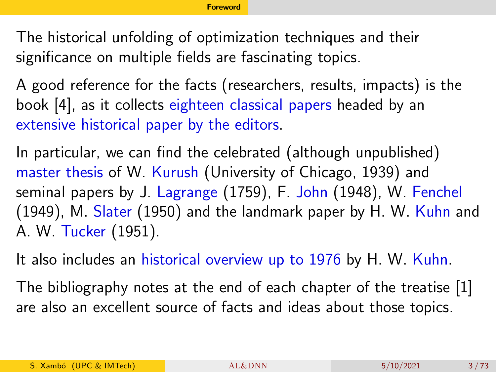<span id="page-2-0"></span>The historical unfolding of optimization techniques and their significance on multiple fields are fascinating topics.

A good reference for the facts (researchers, results, impacts) is the book [\[4\]](#page-70-1), as it collects eighteen classical papers headed by an extensive historical paper by the editors.

In particular, we can find the celebrated (although unpublished) master thesis of W. Kurush (University of Chicago, 1939) and seminal papers by J. Lagrange (1759), F. John (1948), W. Fenchel (1949), M. Slater (1950) and the landmark paper by H. W. Kuhn and A. W. Tucker (1951).

It also includes an historical overview up to 1976 by H. W. Kuhn.

The bibliography notes at the end of each chapter of the treatise [\[1\]](#page-69-0) are also an excellent source of facts and ideas about those topics.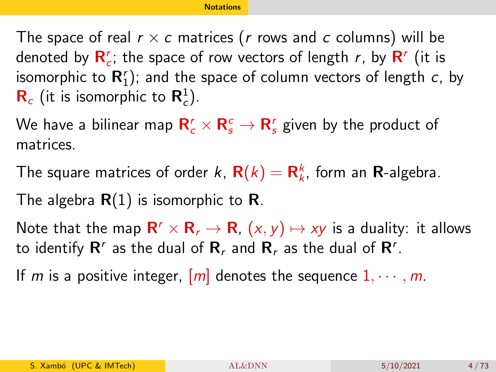<span id="page-3-0"></span>The space of real  $r \times c$  matrices (r rows and c columns) will be denoted by  $\mathsf{R}_c^r$ ; the space of row vectors of length  $r$ , by  $\mathsf{R}^r$  (it is isomorphic to  $\mathbf{R}_{1}^{r}$ ); and the space of column vectors of length  $c$ , by  **(it is isomorphic to**  $**R**<sub>c</sub><sup>1</sup>$ **).** 

We have a bilinear map  $\mathbf{R}_c^r\times\mathbf{R}_s^c\to\mathbf{R}_s^r$  given by the product of matrices.

The square matrices of order k,  $\mathbf{R}(k) = \mathbf{R}_k^k$ , form an  $\mathbf{R}$ -algebra.

The algebra  $R(1)$  is isomorphic to R.

Note that the map  $\mathsf{R}^r\times \mathsf{R}_r\to \mathsf{R}$ ,  $(x,y)\mapsto xy$  is a duality: it allows to identify  $\mathsf{R}^r$  as the dual of  $\mathsf{R}_r$  and  $\mathsf{R}_r$  as the dual of  $\mathsf{R}^r$ .

If m is a positive integer,  $[m]$  denotes the sequence  $1, \dots, m$ .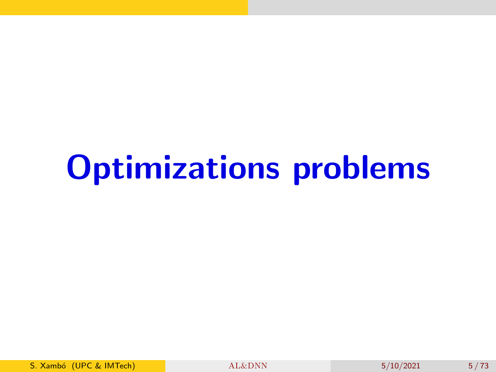# Optimizations problems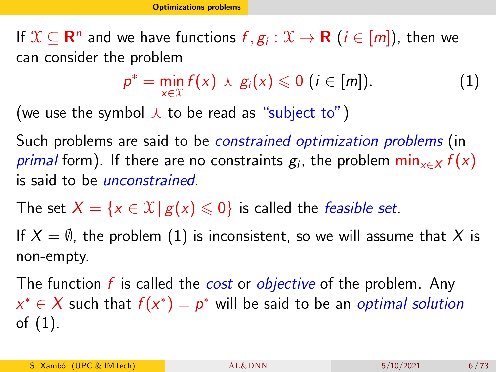<span id="page-5-0"></span>If  $\mathfrak{X}\subseteq \mathbf{R}^n$  and we have functions  $f,g_i:\mathfrak{X}\to \mathbf{R}$   $(i\in [m]),$  then we can consider the problem

<span id="page-5-1"></span>
$$
p^* = \min_{x \in \mathcal{X}} f(x) \wedge g_i(x) \leq 0 \ (i \in [m]). \qquad (1)
$$

(we use the symbol  $\lambda$  to be read as "subject to")

Such problems are said to be *constrained optimization problems* (in  $\emph{primal form). If there are no constraints  $g_i,$  the problem  $\min_{x \in X} f(x)$$ is said to be unconstrained.

The set  $X = \{x \in \mathcal{X} | g(x) \leq 0\}$  is called the *feasible set*.

If  $X = \emptyset$ , the problem [\(1\)](#page-5-1) is inconsistent, so we will assume that X is non-empty.

The function  $f$  is called the *cost* or *objective* of the problem. Any  $x^* \in X$  such that  $f(x^*) = p^*$  will be said to be an optimal solution of [\(1\)](#page-5-1).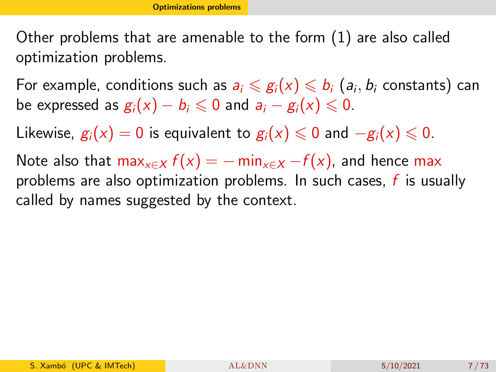Other problems that are amenable to the form [\(1\)](#page-5-1) are also called optimization problems.

For example, conditions such as  $a_i\leqslant g_i(x)\leqslant b_i$   $(a_i,b_i$  constants) can be expressed as  $g_i(x) - b_i \le 0$  and  $a_i - g_i(x) \le 0$ .

Likewise,  $g_i(x) = 0$  is equivalent to  $g_i(x) \leq 0$  and  $-g_i(x) \leq 0$ .

Note also that max<sub>x∈X</sub>  $f(x) = -\min_{x \in X} -f(x)$ , and hence max problems are also optimization problems. In such cases,  $f$  is usually called by names suggested by the context.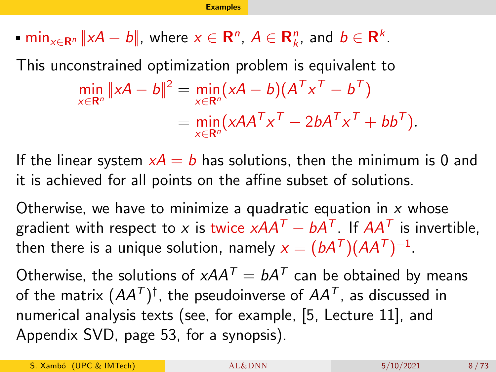<span id="page-7-0"></span> $\min_{x \in \mathbb{R}^n} ||x\mathcal{A} - \mathcal{b}||$ , where  $x \in \mathbb{R}^n$ ,  $\mathcal{A} \in \mathbb{R}_k^n$ , and  $\mathcal{b} \in \mathbb{R}^k$ .

This unconstrained optimization problem is equivalent to

$$
\min_{x \in \mathbf{R}^n} \|xA - b\|^2 = \min_{x \in \mathbf{R}^n} (xA - b)(A^T x^T - b^T)
$$
  
= 
$$
\min_{x \in \mathbf{R}^n} (xAA^T x^T - 2bA^T x^T + bb^T).
$$

If the linear system  $xA = b$  has solutions, then the minimum is 0 and it is achieved for all points on the affine subset of solutions.

Otherwise, we have to minimize a quadratic equation in  $x$  whose gradient with respect to x is twice  $x\mathcal{A}\mathcal{A}^{\mathcal{T}}-b\mathcal{A}^{\mathcal{T}}.$  If  $\mathcal{A}\mathcal{A}^{\mathcal{T}}$  is invertible, then there is a unique solution, namely  $x=(bA^{\mathsf{T}})(AA^{\mathsf{T}})^{-1}.$ 

Otherwise, the solutions of  $x$ AA $^\mathcal{T} = b$ A $^\mathcal{T}$  can be obtained by means of the matrix  $(AA^{\mathsf{T}})^{\dagger}$ , the pseudoinverse of  $A A^{\mathsf{T}}$ , as discussed in numerical analysis texts (see, for example, [\[5,](#page-71-0) Lecture 11], and Appendix SVD, page 53, for a synopsis).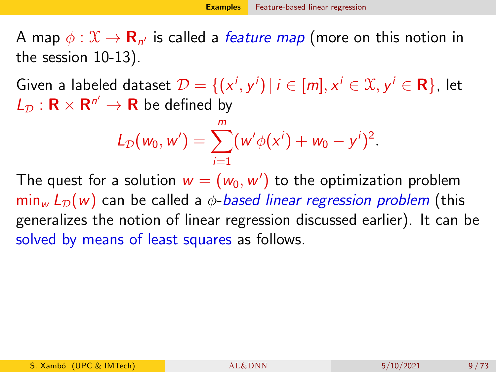<span id="page-8-0"></span>A map  $\phi: \mathfrak X \to \mathbf R_{n'}$  is called a *feature map* (more on this notion in the session 10-13).

Given a labeled dataset  $\mathcal{D}=\{(\mathsf{x}^i,\mathsf{y}^i)\,|\,i\in[m],\mathsf{x}^i\in\mathfrak{X},\mathsf{y}^i\in\mathsf{R}\}$ , let  $L_{\mathcal{D}}: \mathbf{R} \times \mathbf{R}^{n'} \to \mathbf{R}$  be defined by

$$
L_{\mathcal{D}}(w_0, w') = \sum_{i=1}^m (w' \phi(x^i) + w_0 - y^i)^2.
$$

The quest for a solution  $\textit{\textbf{w}} = (\textit{\textbf{w}}_0,\textit{\textbf{w}}')$  to the optimization problem  $min_w L_D(w)$  can be called a  $\phi$ -based linear regression problem (this generalizes the notion of linear regression discussed earlier). It can be solved by means of least squares as follows.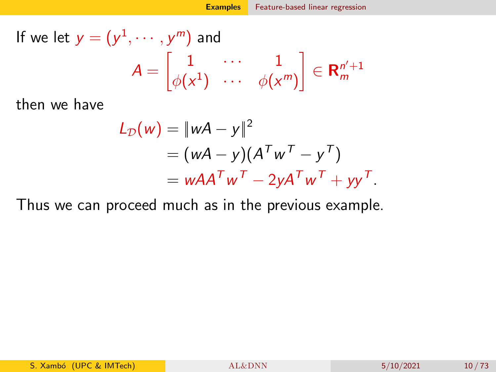If we let 
$$
y = (y^1, \dots, y^m)
$$
 and  
\n
$$
A = \begin{bmatrix} 1 & \cdots & 1 \\ \phi(x^1) & \cdots & \phi(x^m) \end{bmatrix} \in \mathbf{R}_{m}^{n'+1}
$$

then we have

$$
L_{\mathcal{D}}(w) = ||wA - y||^2
$$
  
=  $(wA - y)(A^T w^T - y^T)$   
=  $wAA^T w^T - 2yA^T w^T + yy^T$ .

Thus we can proceed much as in the previous example.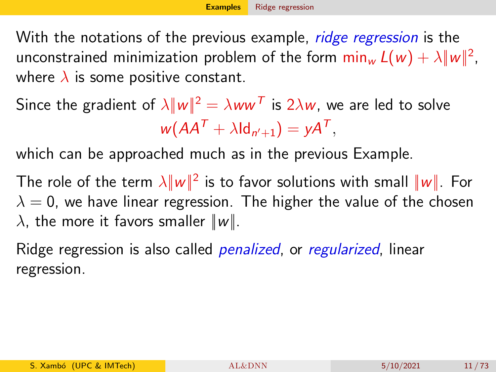<span id="page-10-0"></span>With the notations of the previous example, *ridge regression* is the unconstrained minimization problem of the form  $\min_w L(w) + \lambda \|w\|^2$ , where  $\lambda$  is some positive constant.

Since the gradient of  $\lambda\|w\|^2=\lambda w w^{\mathcal T}$  is  $2\lambda w$ , we are led to solve  $w(AA^T + \lambda \mathrm{Id}_{n'+1}) = yA^T,$ 

which can be approached much as in the previous Example.

The role of the term  $\lambda \|\bm{w}\|^2$  is to favor solutions with small  $\|\bm{w}\|$ . For  $\lambda = 0$ , we have linear regression. The higher the value of the chosen  $\lambda$ , the more it favors smaller  $||w||$ .

Ridge regression is also called *penalized*, or *regularized*, linear regression.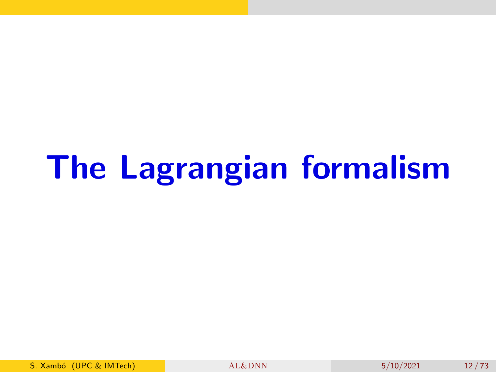# The Lagrangian formalism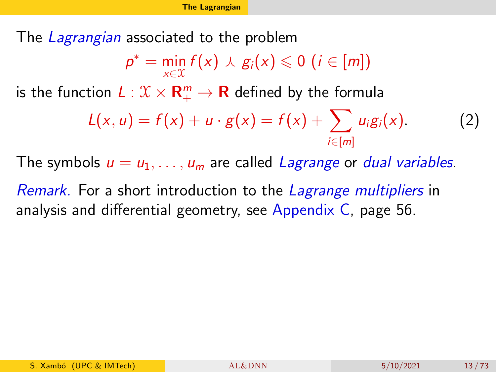<span id="page-12-0"></span>The Lagrangian associated to the problem

$$
p^* = \min_{x \in \mathcal{X}} f(x) \wedge g_i(x) \leq 0 \ (i \in [m])
$$

is the function  $L: \mathfrak{X} \times \mathbf{R}^m_+ \to \mathbf{R}$  defined by the formula

$$
L(x, u) = f(x) + u \cdot g(x) = f(x) + \sum_{i \in [m]} u_i g_i(x).
$$
 (2)

The symbols  $u = u_1, \ldots, u_m$  are called Lagrange or dual variables.

Remark. For a short introduction to the Lagrange multipliers in analysis and differential geometry, see Appendix C, page 56.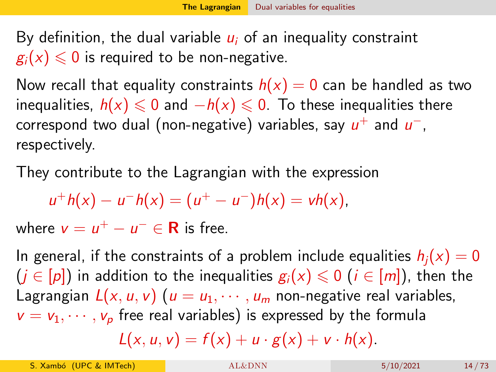<span id="page-13-0"></span>By definition, the dual variable  $u_i$  of an inequality constraint  $g_i(x) \leq 0$  is required to be non-negative.

Now recall that equality constraints  $h(x) = 0$  can be handled as two inequalities,  $h(x) \le 0$  and  $-h(x) \le 0$ . To these inequalities there correspond two dual (non-negative) variables, say  $u^+$  and  $u^-,$ respectively.

They contribute to the Lagrangian with the expression

$$
u^+h(x) - u^-h(x) = (u^+ - u^-)h(x) = vh(x),
$$

where  $v = u^+ - u^- \in \mathbb{R}$  is free.

In general, if the constraints of a problem include equalities  $h_i(x) = 0$  $(j \in [p])$  in addition to the inequalities  $g_i(x) \leq 0$  ( $i \in [m]$ ), then the Lagrangian  $L(x, u, v)$  ( $u = u_1, \dots, u_m$  non-negative real variables,  $v = v_1, \dots, v_n$  free real variables) is expressed by the formula  $L(x, u, v) = f(x) + u \cdot g(x) + v \cdot h(x)$ .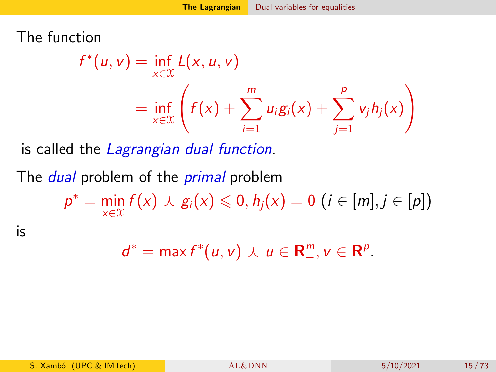The function

$$
f^*(u, v) = \inf_{x \in \mathcal{X}} L(x, u, v)
$$
  
= 
$$
\inf_{x \in \mathcal{X}} \left( f(x) + \sum_{i=1}^m u_i g_i(x) + \sum_{j=1}^p v_j h_j(x) \right)
$$

is called the Lagrangian dual function.

The *dual* problem of the *primal* problem

 $p^* = \min_{x \in \mathcal{X}} f(x) \cup g_i(x) \leq 0, h_j(x) = 0 \ (i \in [m], j \in [p])$ 

is

$$
d^* = \max f^*(u, v) \wedge u \in \mathbf{R}^m_+, v \in \mathbf{R}^p.
$$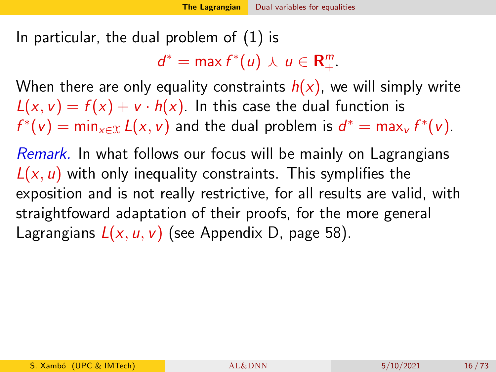In particular, the dual problem of [\(1\)](#page-5-1) is

 $d^* = \max f^*(u) \wedge u \in \mathbf{R}^m_+.$ 

When there are only equality constraints  $h(x)$ , we will simply write  $L(x, v) = f(x) + v \cdot h(x)$ . In this case the dual function is  $f^*(v) = \min_{x \in \mathcal{X}} L(x, v)$  and the dual problem is  $d^* = \max_v f^*(v)$ .

Remark. In what follows our focus will be mainly on Lagrangians  $L(x, u)$  with only inequality constraints. This symplifies the exposition and is not really restrictive, for all results are valid, with straightfoward adaptation of their proofs, for the more general Lagrangians  $L(x, u, v)$  (see Appendix D, page 58).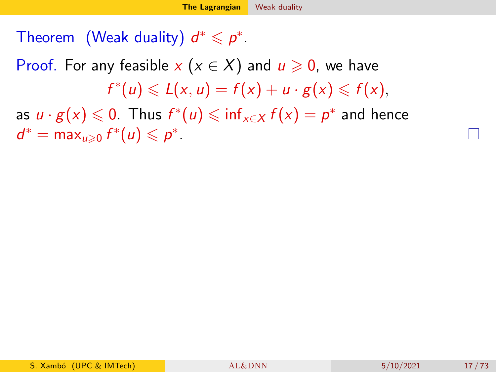### <span id="page-16-0"></span>Theorem (Weak duality)  $d^* \leqslant p^*$ .

## Proof. For any feasible x  $(x \in X)$  and  $u \ge 0$ , we have  $f^*(u) \leqslant L(x, u) = f(x) + u \cdot g(x) \leqslant f(x),$

as  $u \cdot g(x) \leqslant 0$ . Thus  $f^*(u) \leqslant \inf_{x \in X} f(x) = \rho^*$  and hence  $d^* = \max_{u \geqslant 0} f^*(u) \leqslant p^*$ .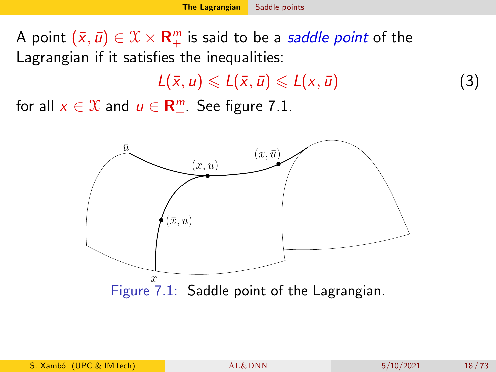<span id="page-17-0"></span>A point  $(\bar{x}, \bar{u}) \in \mathcal{X} \times \mathbf{R}^m_+$  is said to be a *saddle point* of the Lagrangian if it satisfies the inequalities:

<span id="page-17-2"></span> $L(\bar{x}, u) \leqslant L(\bar{x}, \bar{u}) \leqslant L(x, \bar{u})$  (3)

for all  $x \in \mathcal{X}$  and  $u \in \mathbf{R}_{+}^{m}$ . See figure [7.1.](#page-17-1)

<span id="page-17-1"></span>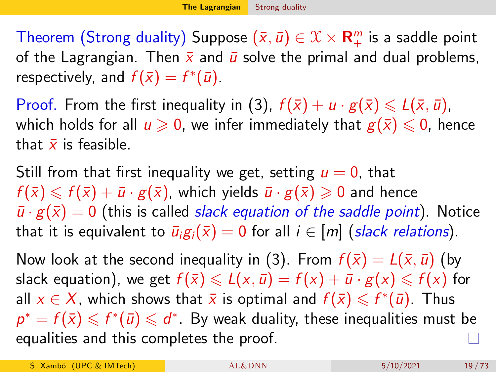<span id="page-18-0"></span>Theorem (Strong duality) Suppose  $(\bar{x}, \bar{u}) \in \mathcal{X} \times \mathbf{R}^m_+$  is a saddle point of the Lagrangian. Then  $\bar{x}$  and  $\bar{u}$  solve the primal and dual problems, respectively, and  $f(\bar{x}) = f^*(\bar{u})$ .

Proof. From the first inequality in [\(3\)](#page-17-2),  $f(\bar{x}) + u \cdot g(\bar{x}) \le L(\bar{x}, \bar{u})$ , which holds for all  $u \ge 0$ , we infer immediately that  $g(\bar{x}) \le 0$ , hence that  $\bar{x}$  is feasible.

Still from that first inequality we get, setting  $u = 0$ , that  $f(\bar{x}) \leq f(\bar{x}) + \bar{u} \cdot g(\bar{x})$ , which yields  $\bar{u} \cdot g(\bar{x}) \geq 0$  and hence  $\bar{u} \cdot g(\bar{x}) = 0$  (this is called *slack equation of the saddle point*). Notice that it is equivalent to  $\bar{u}_i g_i(\bar{x}) = 0$  for all  $i \in [m]$  (slack relations).

Now look at the second inequality in [\(3\)](#page-17-2). From  $f(\bar{x}) = L(\bar{x}, \bar{u})$  (by slack equation), we get  $f(\bar{x}) \leq \mathcal{L}(x, \bar{u}) = f(x) + \bar{u} \cdot g(x) \leq f(x)$  for all  $x \in X$ , which shows that  $\bar{x}$  is optimal and  $f(\bar{x}) \leqslant f^*(\bar{u})$ . Thus  $p^* = f(\bar{x}) \leqslant f^*(\bar{u}) \leqslant d^*$  . By weak duality, these inequalities must be equalities and this completes the proof.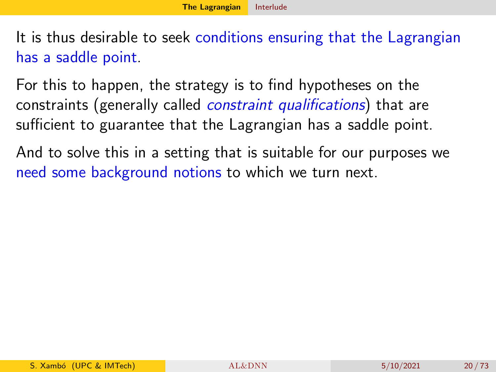<span id="page-19-0"></span>It is thus desirable to seek conditions ensuring that the Lagrangian has a saddle point.

For this to happen, the strategy is to find hypotheses on the constraints (generally called constraint qualifications) that are sufficient to guarantee that the Lagrangian has a saddle point.

And to solve this in a setting that is suitable for our purposes we need some background notions to which we turn next.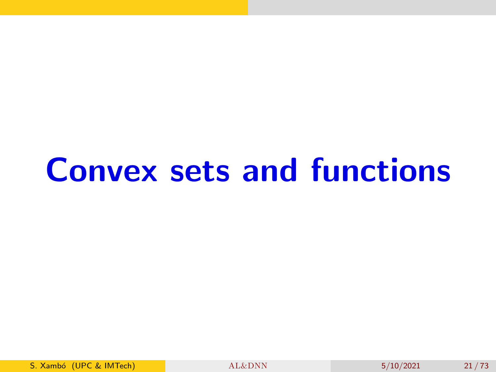# Convex sets and functions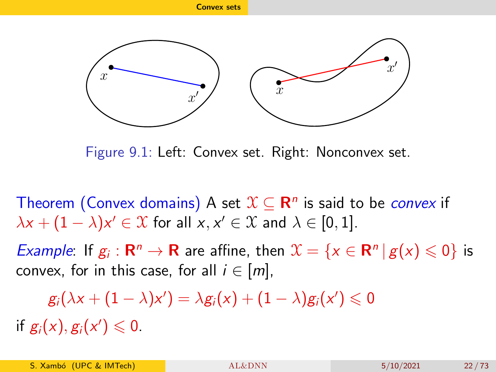<span id="page-21-0"></span>

Figure 9.1: Left: Convex set. Right: Nonconvex set.

Theorem (Convex domains) A set  $\mathfrak{X} \subseteq \mathbf{R}^n$  is said to be *convex* if  $\lambda x + (1 - \lambda)x' \in \mathfrak{X}$  for all  $x, x' \in \mathfrak{X}$  and  $\lambda \in [0, 1]$ .

*Example*: If  $g_i : \mathbf{R}^n \to \mathbf{R}$  are affine, then  $\mathcal{X} = \{x \in \mathbf{R}^n | g(x) \leq 0\}$  is convex, for in this case, for all  $i \in [m]$ ,

 $g_i(\lambda x + (1 - \lambda)x') = \lambda g_i(x) + (1 - \lambda)g_i(x') \leq 0$ 

if  $g_i(x), g_i(x') \leq 0$ .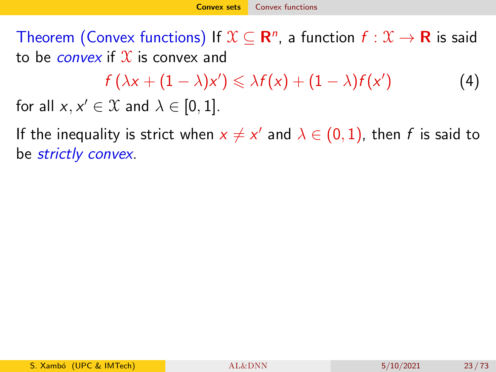<span id="page-22-0"></span>Theorem (Convex functions) If  $\mathfrak{X}\subseteq\mathbf{R}^n$ , a function  $f:\mathfrak{X}\to\mathbf{R}$  is said to be *convex* if  $\mathcal X$  is convex and

 $f(\lambda x + (1 - \lambda)x') \leq \lambda f(x) + (1 - \lambda)f(x')$ ) (4) for all  $x, x' \in \mathcal{X}$  and  $\lambda \in [0, 1]$ .

If the inequality is strict when  $x\neq x'$  and  $\lambda\in (0,1)$ , then  $f$  is said to be strictly convex.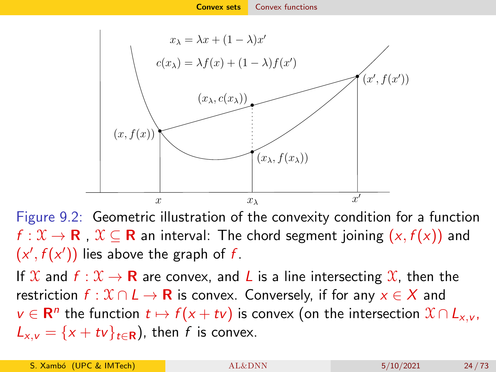

Figure 9.2: Geometric illustration of the convexity condition for a function  $f: \mathcal{X} \to \mathbf{R}$  ,  $\mathcal{X} \subseteq \mathbf{R}$  an interval: The chord segment joining  $(x, f(x))$  and  $(x', f(x'))$  lies above the graph of f.

If  $\mathfrak{X}$  and  $f : \mathfrak{X} \to \mathbf{R}$  are convex, and L is a line intersecting  $\mathfrak{X}$ , then the restriction  $f: \mathcal{X} \cap L \to \mathbf{R}$  is convex. Conversely, if for any  $x \in X$  and  $v \in \mathbf{R}^n$  the function  $t \mapsto f(x + tv)$  is convex (on the intersection  $\mathfrak{X} \cap L_{x,v}$ ,  $L_{x,y} = \{x + tv\}_{t\in\mathbf{R}}$ , then f is convex.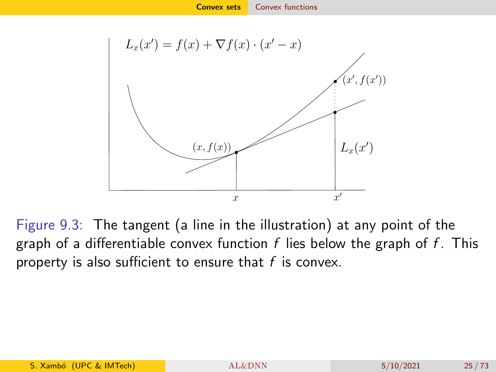

<span id="page-24-0"></span>Figure 9.3: The tangent (a line in the illustration) at any point of the graph of a differentiable convex function  $f$  lies below the graph of  $f$ . This property is also sufficient to ensure that  $f$  is convex.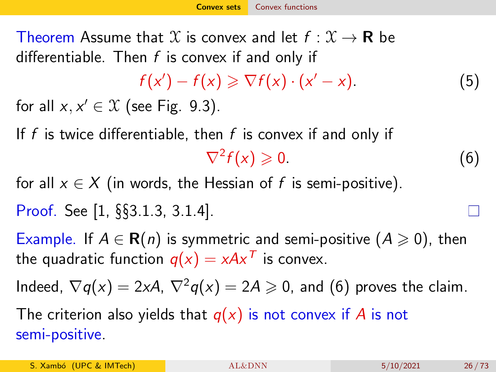Theorem Assume that X is convex and let  $f: \mathcal{X} \to \mathbf{R}$  be differentiable. Then  $f$  is convex if and only if

<span id="page-25-0"></span>
$$
f(x') - f(x) \geqslant \nabla f(x) \cdot (x' - x). \tag{5}
$$

for all  $x, x' \in \mathcal{X}$  (see Fig. [9.3\)](#page-24-0).

If f is twice differentiable, then f is convex if and only if  $\nabla^2 f(x) \geqslant 0.$  (6)

for all  $x \in X$  (in words, the Hessian of f is semi-positive). Proof. See [\[1,](#page-69-0) §§3.1.3, 3.1.4].

Example. If  $A \in \mathbf{R}(n)$  is symmetric and semi-positive  $(A \geq 0)$ , then the quadratic function  $q(x) = xAx^T$  is convex.

Indeed,  $\nabla q(x) = 2xA$ ,  $\nabla^2 q(x) = 2A \ge 0$ , and [\(6\)](#page-25-0) proves the claim.

The criterion also yields that  $q(x)$  is not convex if A is not semi-positive.

S. Xambó (UPC & IMTech)  $AL&DNN$  5/10/2021 26/73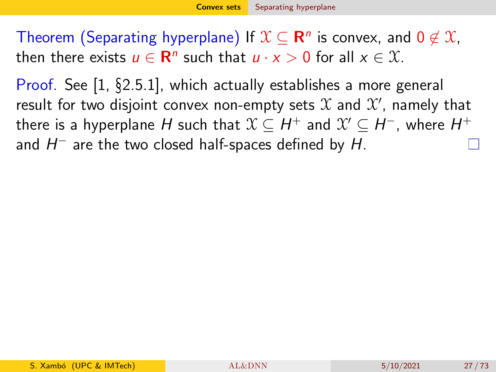<span id="page-26-0"></span>Theorem (Separating hyperplane) If  $\mathfrak{X}\subseteq \mathbf{R}^n$  is convex, and 0  $\not\in \mathfrak{X},$ then there exists  $u \in \mathbb{R}^n$  such that  $u \cdot x > 0$  for all  $x \in \mathcal{X}$ .

Proof. See [\[1,](#page-69-0) §2.5.1], which actually establishes a more general result for two disjoint convex non-empty sets  $\mathfrak X$  and  $\mathfrak X'$ , namely that there is a hyperplane  $H$  such that  $\mathfrak{X}\subseteq H^+$  and  $\mathfrak{X}'\subseteq H^-$ , where  $H^+$ and  $H^-$  are the two closed half-spaces defined by  $H$ .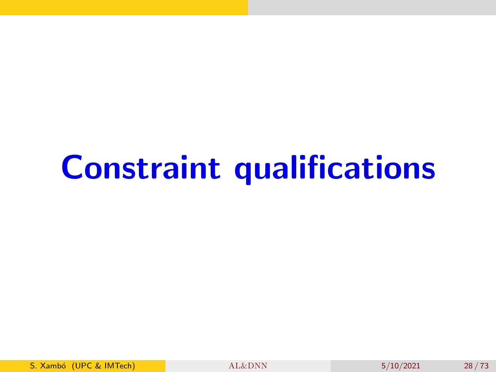# Constraint qualifications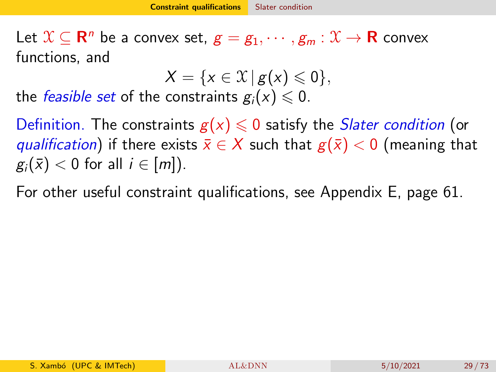<span id="page-28-0"></span>Let  $\mathcal{X} \subseteq \mathbf{R}^n$  be a convex set,  $g = g_1, \cdots, g_m : \mathcal{X} \to \mathbf{R}$  convex functions, and

 $X = \{x \in \mathcal{X} \mid g(x) \leq 0\},\$ 

the *feasible set* of the constraints  $g_i(x) \leq 0$ .

Definition. The constraints  $g(x) \leq 0$  satisfy the *Slater condition* (or qualification) if there exists  $\bar{x} \in X$  such that  $g(\bar{x}) < 0$  (meaning that  $g_i(\bar{x}) < 0$  for all  $i \in [m]$ ).

For other useful constraint qualifications, see Appendix E, page 61.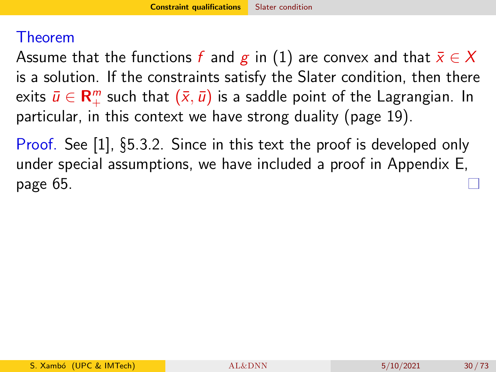#### Theorem

Assume that the functions f and g in [\(1\)](#page-5-1) are convex and that  $\bar{x} \in X$ is a solution. If the constraints satisfy the Slater condition, then there exits  $\bar{u}\in{\mathbf R}^m_+$  such that  $(\bar{x},\bar{u})$  is a saddle point of the Lagrangian. In particular, in this context we have strong duality (page 19).

Proof. See [\[1\]](#page-69-0), §5.3.2. Since in this text the proof is developed only under special assumptions, we have included a proof in Appendix E, page 65.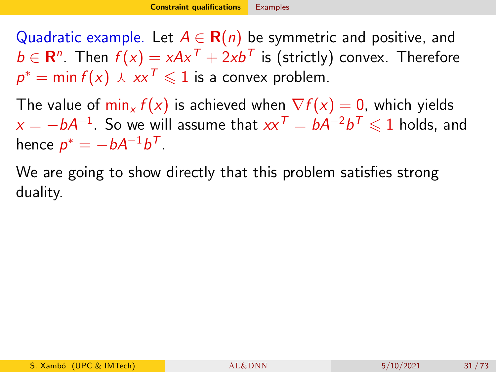<span id="page-30-0"></span>Quadratic example. Let  $A \in \mathbf{R}(n)$  be symmetric and positive, and  $b \in {\mathbf R}^n$ . Then  $f(x) = xA x^{\mathcal T} + 2 x b^{\mathcal T}$  is (strictly) convex. Therefore  $p^* = \min f(x) \,\,\overline{\;\,} \,\overline{\;\,} \, x$  $\overline{\;\,} \, \infty$  1 is a convex problem.

The value of  $\min_x f(x)$  is achieved when  $\nabla f(x) = 0$ , which yields  $x=-bA^{-1}.$  So we will assume that  $xx^{\mathcal{T}}=bA^{-2}b^{\mathcal{T}}\leqslant1$  holds, and hence  $p^* = -bA^{-1}b^T$ .

We are going to show directly that this problem satisfies strong duality.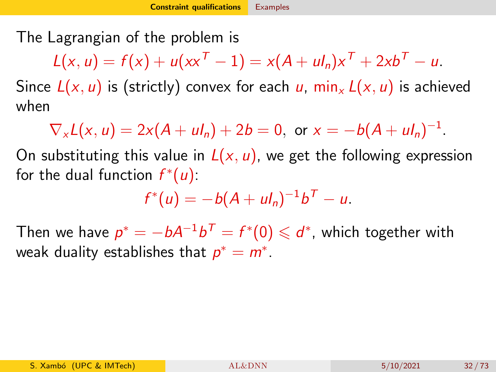The Lagrangian of the problem is

$$
L(x, u) = f(x) + u(xx^{T} - 1) = x(A + uI_{n})x^{T} + 2xb^{T} - u.
$$

Since  $L(x, u)$  is (strictly) convex for each u,  $min_x L(x, u)$  is achieved when

 $\nabla_x L(x, u) = 2x(A + ul_n) + 2b = 0$ , or  $x = -b(A + ul_n)^{-1}$ .

On substituting this value in  $L(x, u)$ , we get the following expression for the dual function  $f^*(u)$ :

$$
f^*(u) = -b(A + ul_n)^{-1}b^T - u.
$$

Then we have  $p^* = -bA^{-1}b^{\mathcal{T}} = f^*(0) \leqslant d^*$ , which together with weak duality establishes that  $p^* = m^*$ .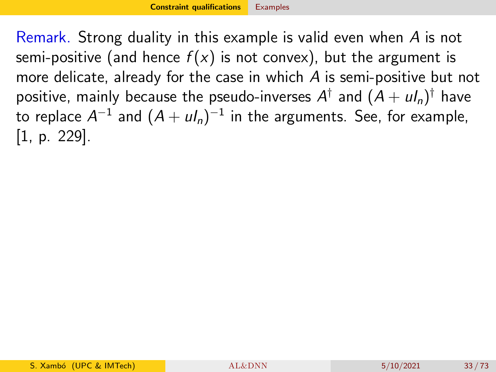Remark. Strong duality in this example is valid even when A is not semi-positive (and hence  $f(x)$  is not convex), but the argument is more delicate, already for the case in which A is semi-positive but not positive, mainly because the pseudo-inverses  $A^\dagger$  and  $(A+u I_n)^\dagger$  have to replace  $A^{-1}$  and  $(A+u l_n)^{-1}$  in the arguments. See, for example, [\[1,](#page-69-0) p. 229].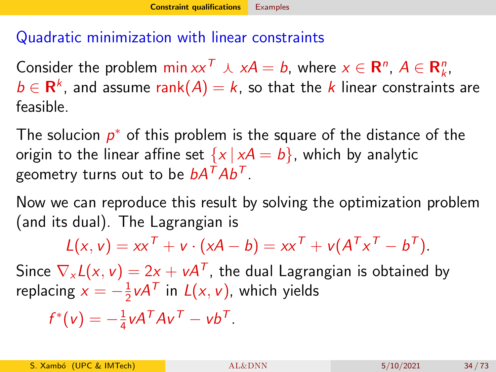#### Quadratic minimization with linear constraints

Consider the problem  $\min xx^T \wedge xA = b$ , where  $x \in \mathbb{R}^n$ ,  $A \in \mathbb{R}_k^n$ ,  $b \in \mathsf{R}^k$ , and assume  $\mathsf{rank}(A) = k$ , so that the  $k$  linear constraints are feasible.

The solucion  $p^*$  of this problem is the square of the distance of the origin to the linear affine set  $\{x \mid xA = b\}$ , which by analytic geometry turns out to be  $bA^TAb^T$ .

Now we can reproduce this result by solving the optimization problem (and its dual). The Lagrangian is

$$
L(x, v) = xxT + v \cdot (xA - b) = xxT + v(ATxT - bT).
$$

Since  $\nabla_{\mathsf{x}} L(\mathsf{x},\mathsf{v}) = 2 \mathsf{x} + \mathsf{v} A^{\mathsf{T}}$ , the dual Lagrangian is obtained by replacing  $x = -\frac{1}{2}$  $\frac{1}{2}$ v $A^{\mathcal{T}}$  in  $L(x, v)$ , which yields

$$
f^*(v) = -\frac{1}{4}vA^TAv^T - vb^T.
$$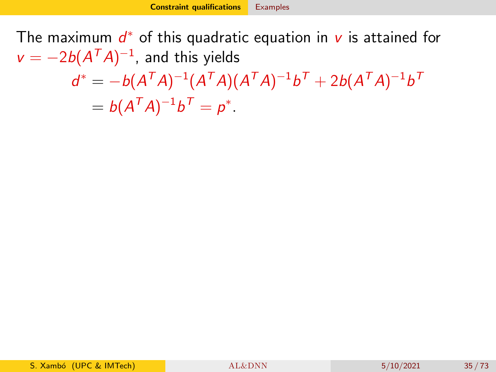The maximum  $d^*$  of this quadratic equation in  $v$  is attained for  $v = -2b(A^TA)^{-1}$ , and this yields  $d^* = -b(A^TA)^{-1}(A^TA)(A^TA)^{-1}b^T + 2b(A^TA)^{-1}b^T$  $= b(A^TA)^{-1}b^T = p^*.$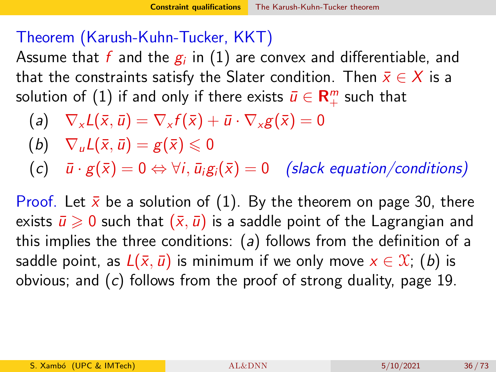#### <span id="page-35-0"></span>Theorem (Karush-Kuhn-Tucker, KKT)

Assume that  $f$  and the  $\overline{g_i}$  in  $(1)$  are convex and differentiable, and that the constraints satisfy the Slater condition. Then  $\bar{x} \in X$  is a solution of  $(1)$  if and only if there exists  $\bar{u}\in {\mathsf{R}}_+^m$  such that

- (a)  $\nabla_{\mathbf{x}}L(\bar{\mathbf{x}},\bar{\mathbf{u}})=\nabla_{\mathbf{x}}f(\bar{\mathbf{x}})+\bar{\mathbf{u}}\cdot\nabla_{\mathbf{x}}g(\bar{\mathbf{x}})=0$
- (b)  $\nabla_{\mu}L(\bar{x},\bar{u})=g(\bar{x})\leq 0$
- (c)  $\bar{u} \cdot g(\bar{x}) = 0 \Leftrightarrow \forall i, \bar{u}_i g_i(\bar{x}) = 0$  (slack equation/conditions)

Proof. Let  $\bar{x}$  be a solution of [\(1\)](#page-5-1). By the theorem on page 30, there exists  $\bar{u} \geq 0$  such that  $(\bar{x}, \bar{u})$  is a saddle point of the Lagrangian and this implies the three conditions:  $(a)$  follows from the definition of a saddle point, as  $L(\bar{x}, \bar{u})$  is minimum if we only move  $x \in \mathcal{X}$ ; (b) is obvious; and (c) follows from the proof of strong duality, page 19.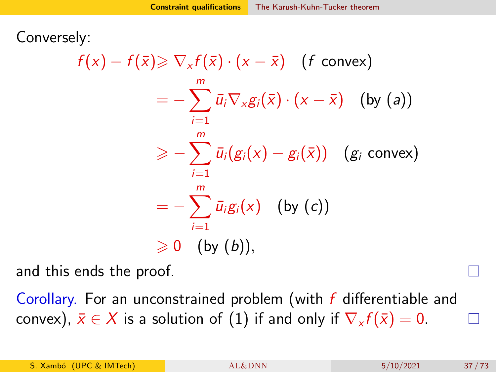Conversely:

$$
f(x) - f(\bar{x}) \geq \nabla_x f(\bar{x}) \cdot (x - \bar{x}) \quad (f \text{ convex})
$$
  

$$
= -\sum_{i=1}^m \bar{u}_i \nabla_x g_i(\bar{x}) \cdot (x - \bar{x}) \quad \text{(by (a))}
$$
  

$$
\geq -\sum_{i=1}^m \bar{u}_i (g_i(x) - g_i(\bar{x})) \quad (g_i \text{ convex})
$$
  

$$
= -\sum_{i=1}^m \bar{u}_i g_i(x) \quad \text{(by (c))}
$$
  

$$
\geq 0 \quad \text{(by (b))},
$$

and this ends the proof.

Corollary. For an unconstrained problem (with f differentiable and convex),  $\bar{x} \in X$  is a solution of [\(1\)](#page-5-0) if and only if  $\nabla_x f(\bar{x}) = 0$ .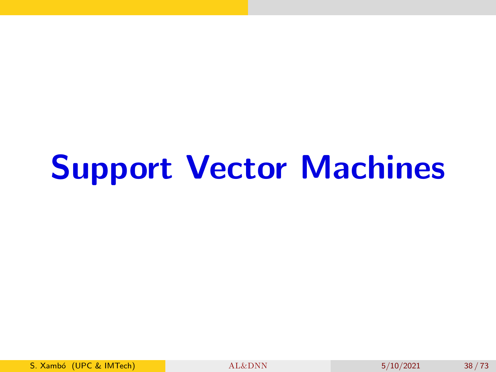# Support Vector Machines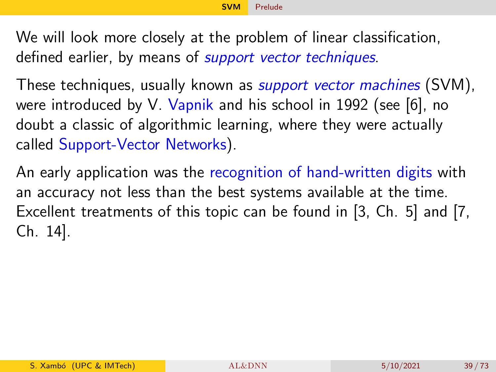<span id="page-38-0"></span>We will look more closely at the problem of linear classification, defined earlier, by means of *support vector techniques*.

These techniques, usually known as *support vector machines* (SVM), were introduced by V. Vapnik and his school in 1992 (see [\[6\]](#page-71-0), no doubt a classic of algorithmic learning, where they were actually called Support-Vector Networks).

An early application was the recognition of hand-written digits with an accuracy not less than the best systems available at the time. Excellent treatments of this topic can be found in [\[3,](#page-70-0) Ch. 5] and [\[7,](#page-71-1) Ch. 14].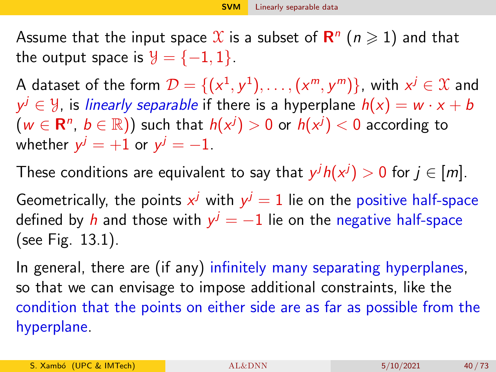<span id="page-39-0"></span>Assume that the input space  $\mathfrak X$  is a subset of  $\mathsf R^n$   $(n\geqslant 1)$  and that the output space is  $\mathcal{Y} = \{-1, 1\}$ .

A dataset of the form  $\mathcal{D} = \{(\mathsf{x}^1, \mathsf{y}^1), \ldots, (\mathsf{x}^m, \mathsf{y}^m)\}$ , with  $\mathsf{x}^j \in \mathfrak{X}$  and  $\mathsf{y}^j \in \mathcal{Y}$ , is *linearly separable* if there is a hyperplane  $h(\mathsf{x}) = \mathsf{w} \cdot \mathsf{x} + \mathsf{b}$  $(w \in \mathbf{R}^n, b \in \mathbb{R})$ ) such that  $h(x^j) > 0$  or  $h(x^j) < 0$  according to whether  $y^j=+1$  or  $y^j=-1$ .

These conditions are equivalent to say that  $y^j h(x^j) > 0$  for  $j \in [m].$ 

Geometrically, the points  $x^j$  with  $y^j=1$  lie on the positive half-space defined by  $h$  and those with  $y^j=-1$  lie on the negative half-space (see Fig. [13.1\)](#page-40-0).

In general, there are (if any) infinitely many separating hyperplanes, so that we can envisage to impose additional constraints, like the condition that the points on either side are as far as possible from the hyperplane.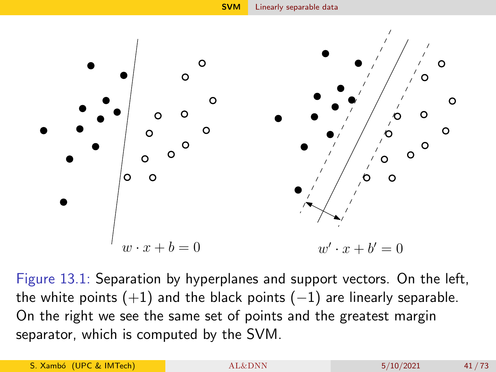

<span id="page-40-0"></span>Figure 13.1: Separation by hyperplanes and support vectors. On the left, the white points  $(+1)$  and the black points  $(-1)$  are linearly separable. On the right we see the same set of points and the greatest margin separator, which is computed by the SVM.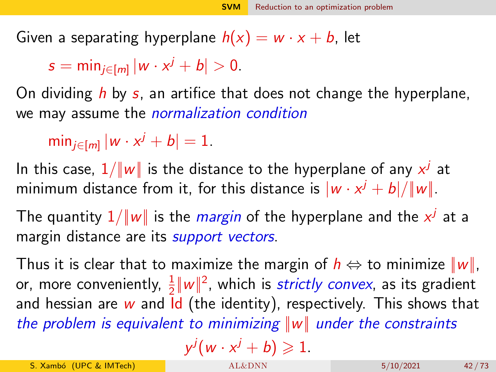<span id="page-41-0"></span>Given a separating hyperplane  $h(x) = w \cdot x + b$ , let

 $s = \min_{j \in [m]} |w \cdot x^j + b| > 0.$ 

On dividing h by s, an artifice that does not change the hyperplane, we may assume the *normalization condition* 

 $\min_{j \in [m]} |w \cdot x^j + b| = 1.$ 

In this case,  $1/\|\boldsymbol{w}\|$  is the distance to the hyperplane of any  $x^j$  at minimum distance from it, for this distance is  $|w \cdot x^j + b|/\|w\|.$ 

The quantity  $1/\|\textit{w}\|$  is the *margin* of the hyperplane and the  $x^j$  at a margin distance are its *support vectors*.

Thus it is clear that to maximize the margin of  $h \Leftrightarrow$  to minimize  $||w||$ , or, more conveniently,  $\frac{1}{2} \| w \|^2$ , which is *strictly convex*, as its gradient and hessian are  $w$  and  $\overline{d}$  (the identity), respectively. This shows that the problem is equivalent to minimizing  $||w||$  under the constraints j

$$
y^j(w\cdot x^j+b)\geqslant 1.
$$

S. Xambó (UPC & IMTech) [AL&DNN](#page-0-0) 5/10/2021 42 / 73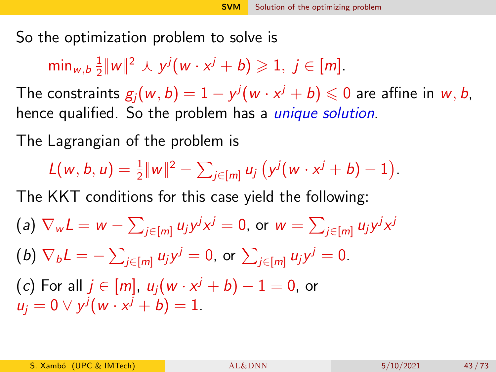<span id="page-42-0"></span>So the optimization problem to solve is

min<sub>w,b</sub> $\frac{1}{2}$  $\frac{1}{2} ||w||^2 \wedge y^j (w \cdot x^j + b) \geqslant 1, j \in [m].$ 

The constraints  $g_j(w,b)=1-y^j(w\cdot x^j+b)\leqslant 0$  are affine in  $w,b,$ hence qualified. So the problem has a *unique solution*.

The Lagrangian of the problem is

 $L(w, b, u) = \frac{1}{2} ||w||^2 - \sum_{j \in [m]} u_j (y^j (w \cdot x^j + b) - 1).$ 

The KKT conditions for this case yield the following:

(a) 
$$
\nabla_w L = w - \sum_{j \in [m]} u_j y^j x^j = 0
$$
, or  $w = \sum_{j \in [m]} u_j y^j x^j$   
\n(b)  $\nabla_b L = - \sum_{j \in [m]} u_j y^j = 0$ , or  $\sum_{j \in [m]} u_j y^j = 0$   
\n(c) For all  $j \in [m]$ ,  $u_j (w \cdot x^j + b) - 1 = 0$ , or  $u_j = 0 \vee y^j (w \cdot x^j + b) = 1$ .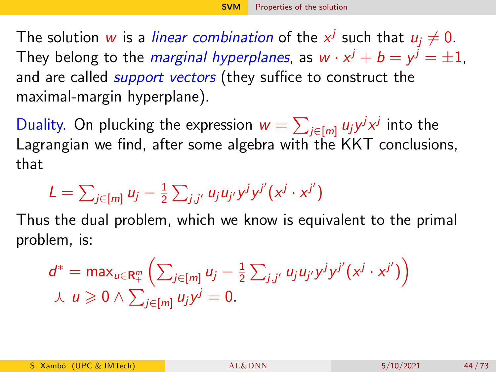<span id="page-43-0"></span>The solution  $w$  is a *linear combination* of the  $x^j$  such that  $u_j \neq 0.$ They belong to the *marginal hyperplanes*, as  $w\cdot x^j+b=y^j=\pm 1$ , and are called *support vectors* (they suffice to construct the maximal-margin hyperplane).

Duality. On plucking the expression  $w=\sum_{j\in [m]} u_j y^j x^j$  into the Lagrangian we find, after some algebra with the KKT conclusions, that

$$
L = \sum_{j \in [m]} u_j - \frac{1}{2} \sum_{j,j'} u_j u_{j'} y^j y^{j'} (x^j \cdot x^{j'})
$$

Thus the dual problem, which we know is equivalent to the primal problem, is:

$$
d^* = \max_{u \in \mathbf{R}_+^m} \left( \sum_{j \in [m]} u_j - \frac{1}{2} \sum_{j,j'} u_j u_{j'} y^j y^{j'} (x^j \cdot x^{j'}) \right) \n\downarrow u \geq 0 \wedge \sum_{j \in [m]} u_j y^j = 0.
$$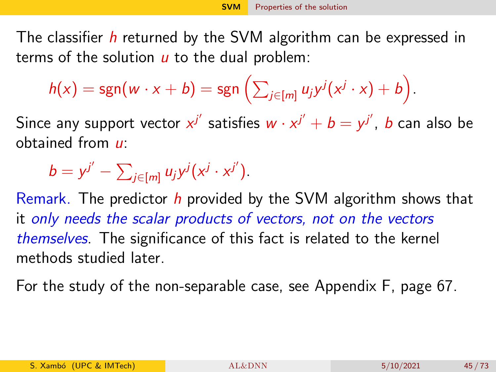The classifier h returned by the SVM algorithm can be expressed in terms of the solution  *to the dual problem:* 

$$
h(x) = \text{sgn}(w \cdot x + b) = \text{sgn}\left(\sum_{j \in [m]} u_j y^j (x^j \cdot x) + b\right).
$$

Since any support vector  $x^{j'}$  satisfies  $w \cdot x^{j'} + b = y^{j'}$ ,  $b$  can also be obtained from u:

$$
b = y^{j'} - \sum_{j \in [m]} u_j y^j (x^j \cdot x^{j'}).
$$

Remark. The predictor h provided by the SVM algorithm shows that it only needs the scalar products of vectors, not on the vectors themselves. The significance of this fact is related to the kernel methods studied later.

For the study of the non-separable case, see Appendix F, page [67.](#page-66-0)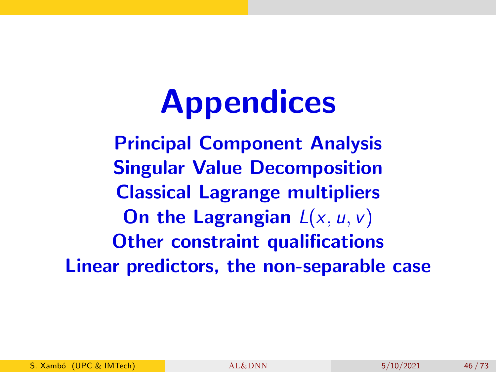# **Appendices**

Principal Component Analysis Singular Value Decomposition Classical Lagrange multipliers On the Lagrangian  $L(x, u, v)$ Other constraint qualifications Linear predictors, the non-separable case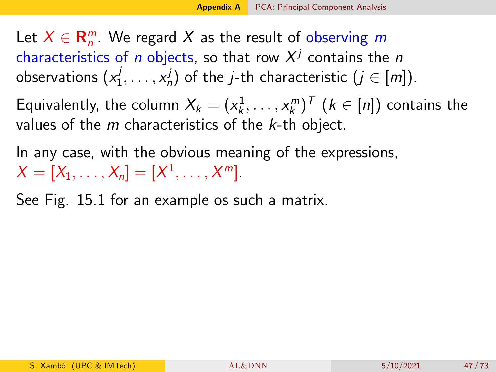<span id="page-46-0"></span>Let  $X \in \mathbf{R}_{n}^{m}$ . We regard X as the result of observing m characteristics of  $n$  objects, so that row  $X^j$  contains the  $n$ observations  $(x_1^j)$  $\{a_1^j, \ldots, a_n^j\}$  of the *j*-th characteristic  $(j \in [m])$ .

Equivalently, the column  $X_k = (x_k^1, \ldots, x_k^m)^{\mathsf{T}}$   $(k \in [n])$  contains the values of the  $m$  characteristics of the  $k$ -th object.

In any case, with the obvious meaning of the expressions,  $X = [X_1, \ldots, X_n] = [X^1, \ldots, X^m].$ 

See Fig. [15.1](#page-47-0) for an example os such a matrix.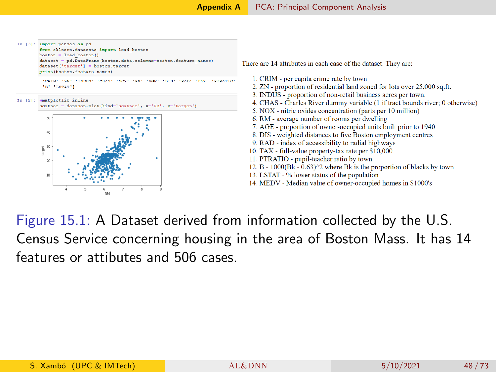

<span id="page-47-0"></span>Figure 15.1: A Dataset derived from information collected by the U.S. Census Service concerning housing in the area of Boston Mass. It has 14 features or attibutes and 506 cases.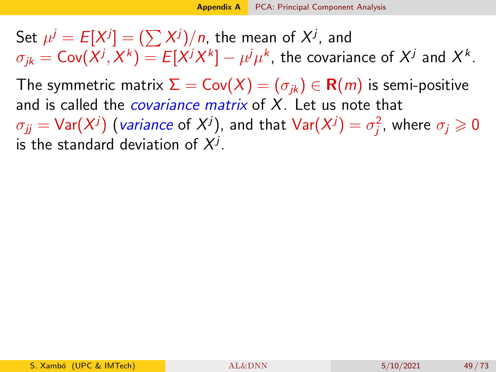Set  $\mu^j = E[X^j] = (\sum X^j)/n$ , the mean of  $X^j$ , and  $\sigma_{jk} = \mathsf{Cov}(X^j, X^k) = E[X^jX^k] - \mu^j\mu^k$ , the covariance of  $X^j$  and  $X^k$ .

The symmetric matrix  $\Sigma = \text{Cov}(X) = (\sigma_{ik}) \in \mathbf{R}(m)$  is semi-positive and is called the *covariance matrix* of  $X$ . Let us note that

 $\sigma_{jj} = \textsf{Var}(X^j)$  (*variance* of  $X^j)$ , and that  $\textsf{Var}(X^j) = \sigma_j^2$ , where  $\sigma_j \geqslant 0$ is the standard deviation of  $X^j$ .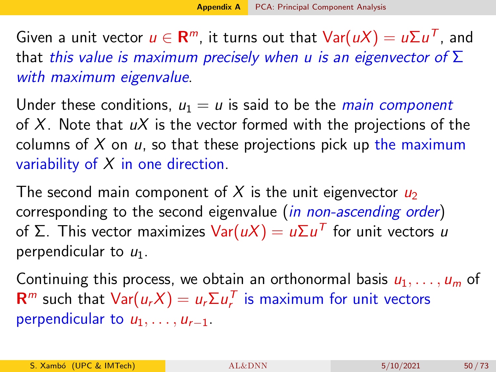Given a unit vector  $u\in{\sf R}^m$ , it turns out that  ${\sf Var}(uX)=u\Sigma u^{\sf T}$ , and that this value is maximum precisely when u is an eigenvector of  $\Sigma$ with maximum eigenvalue.

Under these conditions,  $u_1 = u$  is said to be the *main component* of X. Note that  $uX$  is the vector formed with the projections of the columns of  $X$  on  $u$ , so that these projections pick up the maximum variability of  $X$  in one direction.

The second main component of X is the unit eigenvector  $u_2$ corresponding to the second eigenvalue (*in non-ascending order*) of Σ. This vector maximizes  $\mathsf{Var}(u\mathsf{X})=u\mathsf{\Sigma} u^{\mathsf{T}}$  for unit vectors  $u$ perpendicular to  $u_1$ .

Continuing this process, we obtain an orthonormal basis  $u_1, \ldots, u_m$  of  **such that**  $Var(u_r X) = u_r \Sigma u_r^T$  **is maximum for unit vectors** perpendicular to  $u_1, \ldots, u_{r-1}$ .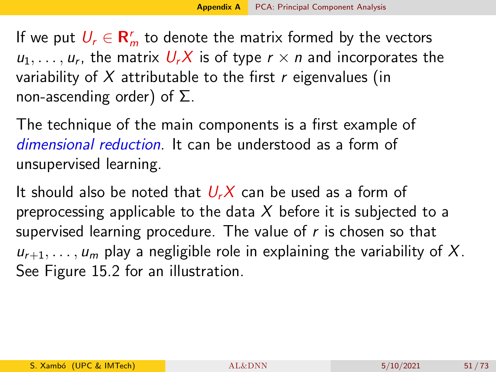If we put  $U_r \in \mathbf{R}_m^r$  to denote the matrix formed by the vectors  $u_1, \ldots, u_r$ , the matrix  $U_rX$  is of type  $r \times n$  and incorporates the variability of X attributable to the first  $r$  eigenvalues (in non-ascending order) of  $\Sigma$ .

The technique of the main components is a first example of dimensional reduction. It can be understood as a form of unsupervised learning.

It should also be noted that  $U_rX$  can be used as a form of preprocessing applicable to the data X before it is subjected to a supervised learning procedure. The value of  $r$  is chosen so that  $u_{r+1}, \ldots, u_m$  play a negligible role in explaining the variability of X. See Figure [15.2](#page-51-0) for an illustration.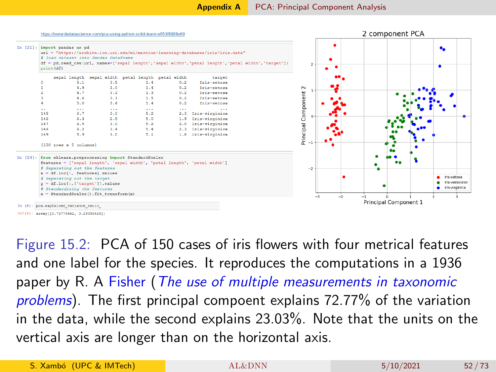

<span id="page-51-0"></span>Figure 15.2: PCA of 150 cases of iris flowers with four metrical features and one label for the species. It reproduces the computations in a 1936 paper by R. A Fisher (The use of multiple measurements in taxonomic problems). The first principal compoent explains 72.77% of the variation in the data, while the second explains 23.03%. Note that the units on the vertical axis are longer than on the horizontal axis.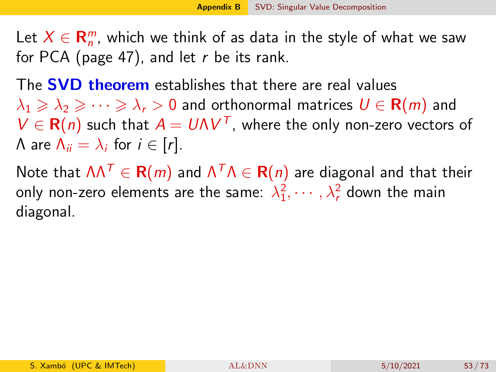<span id="page-52-0"></span>Let  $X \in \mathbf{R}_{n}^{m}$ , which we think of as data in the style of what we saw for PCA (page 47), and let  $r$  be its rank.

The **SVD theorem** establishes that there are real values  $\lambda_1 \geqslant \lambda_2 \geqslant \cdots \geqslant \lambda_r > 0$  and orthonormal matrices  $U \in \mathbf{R}(m)$  and  $V \in \mathbf{R}(n)$  such that  $A = U\Lambda V^{T}$ , where the only non-zero vectors of  $\Lambda$  are  $\Lambda_{ii} = \lambda_i$  for  $i \in [r]$ .

Note that  $\Lambda\Lambda^{\mathcal{T}}\in{\mathbf R}(m)$  and  $\Lambda^{\mathcal{T}}\Lambda\in{\mathbf R}(n)$  are diagonal and that their only non-zero elements are the same:  $\lambda_1^2, \cdots, \lambda_r^2$  down the main diagonal.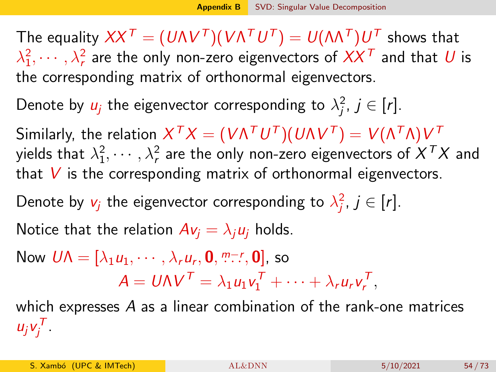The equality  $XX^\mathcal{\,T}=(\mathcal{U}\Lambda V^\mathcal{\,T})(\mathcal{V}\Lambda^\mathcal{\,T}\mathcal{U}^\mathcal{\,T})=\mathcal{U}(\Lambda\Lambda^\mathcal{\,T})\mathcal{U}^\mathcal{\,T}$  shows that  $\lambda_1^2,\cdots,\lambda_r^2$  are the only non-zero eigenvectors of  $XX^\mathcal{T}$  and that  $U$  is the corresponding matrix of orthonormal eigenvectors.

Denote by  $u_j$  the eigenvector corresponding to  $\lambda_j^2$ ,  $j \in [r].$ 

Similarly, the relation  $X^\mathcal{ T} X = (V\Lambda^\mathcal{ T} U^\mathcal{ T}) (U\Lambda V^\mathcal{ T}) = V(\Lambda^\mathcal{ T}\Lambda) V^\mathcal{ T}$ yields that  $\lambda_1^2,\cdots,\lambda_r^2$  are the only non-zero eigenvectors of  $X^TX$  and that  $V$  is the corresponding matrix of orthonormal eigenvectors.

Denote by  $v_j$  the eigenvector corresponding to  $\lambda_j^2$ ,  $j \in [r].$ 

Notice that the relation  $Av_i = \lambda_i u_i$  holds.

Now 
$$
U\Lambda = [\lambda_1 u_1, \dots, \lambda_r u_r, \mathbf{0}, \dots, \mathbf{0}]
$$
, so  
\n
$$
A = U\Lambda V^T = \lambda_1 u_1 v_1^T + \dots + \lambda_r u_r v_r^T,
$$

which expresses A as a linear combination of the rank-one matrices  $u_j v_j^T$ .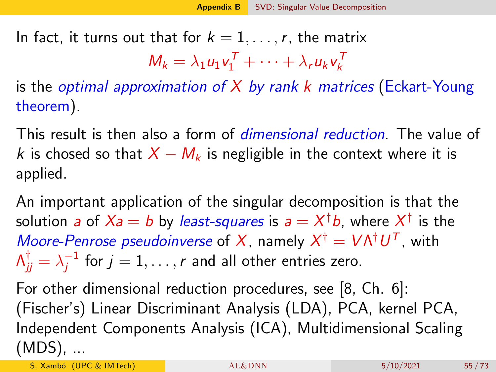In fact, it turns out that for  $k = 1, \ldots, r$ , the matrix

$$
M_k = \lambda_1 u_1 v_1^T + \cdots + \lambda_r u_k v_k^T
$$

is the *optimal approximation of X by rank k matrices* (Eckart-Young theorem).

This result is then also a form of dimensional reduction. The value of k is chosed so that  $X - M_k$  is negligible in the context where it is applied.

An important application of the singular decomposition is that the solution *a* of  $X$ a  $=$   $b$  by *least-squares* is  $a = X^\dagger b$ , where  $X^\dagger$  is the Moore-Penrose pseudoinverse of X, namely  $X^{\dagger} = V \Lambda^{\dagger} U^{T}$ , with  $\Lambda_{jj}^\dagger = \lambda_j^{-1}$  $j_j^{-1}$  for  $j=1,\ldots,r$  and all other entries zero.

For other dimensional reduction procedures, see [\[8,](#page-71-2) Ch. 6]: (Fischer's) Linear Discriminant Analysis (LDA), PCA, kernel PCA, Independent Components Analysis (ICA), Multidimensional Scaling (MDS), ...

S. Xambó (UPC & IMTech) [AL&DNN](#page-0-0) 5/10/2021 55/73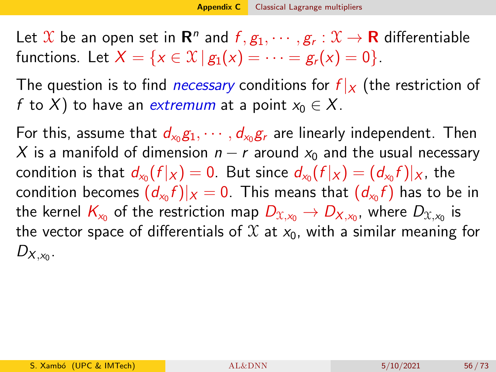<span id="page-55-0"></span>Let  $\mathfrak X$  be an open set in  $\mathsf R^n$  and  $f,g_1,\cdots,g_r:\mathfrak X\to \mathsf R$  differentiable functions. Let  $X = \{x \in \mathcal{X} \mid g_1(x) = \cdots = g_r(x) = 0\}.$ 

The question is to find *necessary* conditions for  $f|_X$  (the restriction of f to X) to have an extremum at a point  $x_0 \in X$ .

For this, assume that  $d_{x_0}g_1,\cdots,d_{x_0}g_r$  are linearly independent. Then X is a manifold of dimension  $n - r$  around  $x_0$  and the usual necessary condition is that  $d_{\mathsf{x}_0}(f|_X)=0.$  But since  $d_{\mathsf{x}_0}(f|_X)=(d_{\mathsf{x}_0}f)|_X,$  the condition becomes  $(d_{\mathsf{x}_0}f)|_{X}=0.$  This means that  $(d_{\mathsf{x}_0}f)$  has to be in the kernel  $\mathsf{K}_{\mathsf{x}_0}$  of the restriction map  $D_{\mathfrak{X},\mathsf{x}_0} \to D_{\mathsf{X},\mathsf{x}_0}$ , where  $D_{\mathfrak{X},\mathsf{x}_0}$  is the vector space of differentials of  $\mathfrak X$  at  $x_0$ , with a similar meaning for  $D_{X,x_0}$ .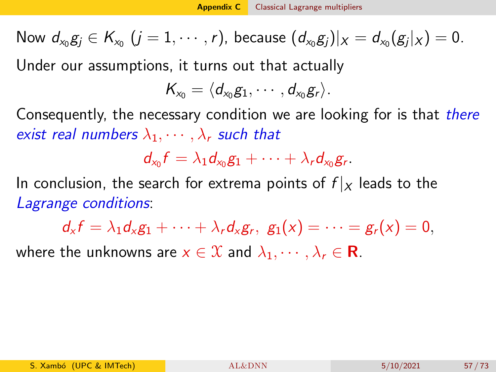Now  $d_{x_0}g_j\in\mathcal{K}_{x_0}\ (j=1,\cdots,r)$ , because  $(d_{x_0}g_j)|_X=d_{x_0}(g_j|_X)=0.$ 

Under our assumptions, it turns out that actually

$$
\mathcal{K}_{x_0}=\langle d_{x_0}g_1,\cdots,d_{x_0}g_r\rangle.
$$

Consequently, the necessary condition we are looking for is that *there* exist real numbers  $\lambda_1, \cdots, \lambda_r$  such that

$$
d_{x_0}f=\lambda_1 d_{x_0}g_1+\cdots+\lambda_rd_{x_0}g_r.
$$

In conclusion, the search for extrema points of  $f|_X$  leads to the Lagrange conditions:

 $d_x f = \lambda_1 d_x g_1 + \cdots + \lambda_r d_x g_r, \,\, g_1(x) = \cdots = g_r(x) = 0,$ 

where the unknowns are  $x \in \mathcal{X}$  and  $\lambda_1, \dots, \lambda_r \in \mathbf{R}$ .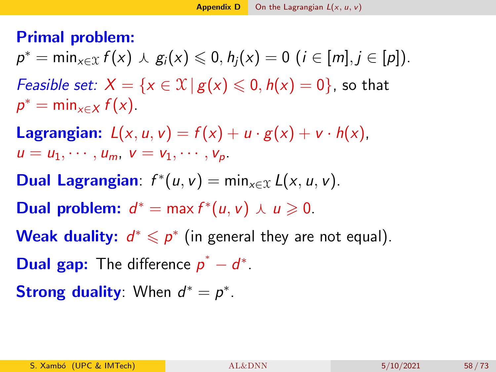### <span id="page-57-0"></span>Primal problem:

- $p^* = \min_{x \in \mathcal{X}} f(x) \wedge g_i(x) \leq 0, h_j(x) = 0 \ (i \in [m], j \in [p]).$ *Feasible set:*  $X = \{x \in \mathcal{X} \mid g(x) \leq 0, h(x) = 0\}$ , so that
- $p^* = \min_{x \in X} f(x)$ .
- **Lagrangian:**  $L(x, u, v) = f(x) + u \cdot g(x) + v \cdot h(x)$ ,  $u = u_1, \cdots, u_m, v = v_1, \cdots, v_n$
- **Dual Lagrangian**:  $f^*(u, v) = \min_{x \in \mathcal{X}} L(x, u, v)$ .
- **Dual problem:**  $d^* = \max f^*(u, v) \wedge u \ge 0$ .
- Weak duality:  $d^* \leqslant p^*$  (in general they are not equal).
- **Dual gap:** The difference  $p^* d^*$ .
- **Strong duality**: When  $d^* = p^*$ .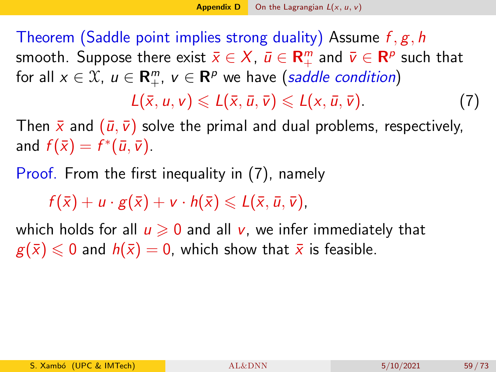Theorem (Saddle point implies strong duality) Assume  $f, g, h$ smooth. Suppose there exist  $\bar{x}\in X$ ,  $\bar{u}\in {\mathbf R}^m_+$  and  $\bar{v}\in {\mathbf R}^p$  such that for all  $x \in \mathfrak{X}$ ,  $u \in \mathbf{R}_{+}^{m}$ ,  $v \in \mathbf{R}^{p}$  we have (saddle condition)

<span id="page-58-0"></span> $L(\bar{x}, u, v) \leq L(\bar{x}, \bar{u}, \bar{v}) \leq L(x, \bar{u}, \bar{v}).$  (7)

Then  $\bar{x}$  and  $(\bar{u}, \bar{v})$  solve the primal and dual problems, respectively, and  $f(\bar{x}) = f^*(\bar{u}, \bar{v}).$ 

Proof. From the first inequality in [\(7\)](#page-58-0), namely

 $f(\overline{x}) + u \cdot g(\overline{x}) + v \cdot h(\overline{x}) \le L(\overline{x}, \overline{u}, \overline{v}).$ 

which holds for all  $u \ge 0$  and all v, we infer immediately that  $g(\bar{x}) \leq 0$  and  $h(\bar{x}) = 0$ , which show that  $\bar{x}$  is feasible.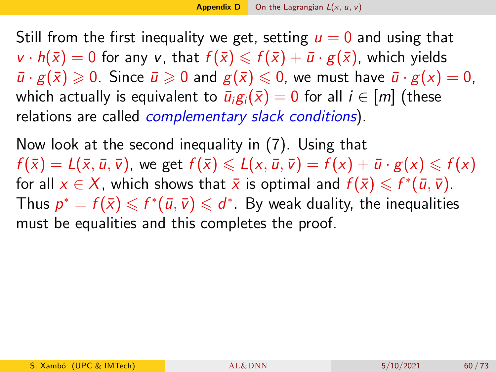Still from the first inequality we get, setting  $u = 0$  and using that  $v \cdot h(\bar{x}) = 0$  for any v, that  $f(\bar{x}) \leq f(\bar{x}) + \bar{u} \cdot g(\bar{x})$ , which yields  $\bar{u} \cdot g(\bar{x}) \geq 0$ . Since  $\bar{u} \geq 0$  and  $g(\bar{x}) \leq 0$ , we must have  $\bar{u} \cdot g(x) = 0$ , which actually is equivalent to  $\bar{u}_i g_i(\bar{x}) = 0$  for all  $i \in [m]$  (these relations are called *complementary slack conditions*).

Now look at the second inequality in [\(7\)](#page-58-0). Using that  $f(\overline{x}) = L(\overline{x}, \overline{u}, \overline{v})$ , we get  $f(\overline{x}) \le L(x, \overline{u}, \overline{v}) = f(x) + \overline{u} \cdot g(x) \le f(x)$ for all  $x \in X$ , which shows that  $\bar{x}$  is optimal and  $f(\bar{x}) \leqslant f^{*}(\bar{u}, \bar{v})$ . Thus  $\rho^* = f(\bar{x}) \leqslant f^*(\bar{u}, \bar{v}) \leqslant d^*$  . By weak duality, the inequalities must be equalities and this completes the proof.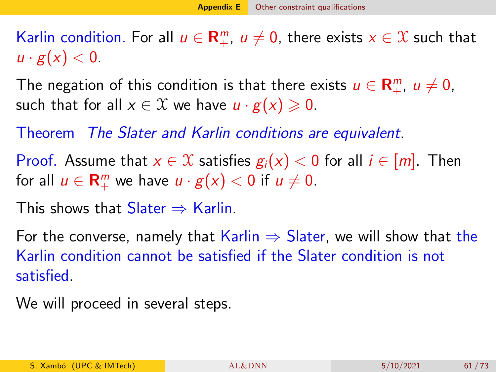<span id="page-60-0"></span>Karlin condition. For all  $u \in \mathbf{R}_{+}^{m}$ ,  $u \neq 0$ , there exists  $x \in \mathcal{X}$  such that  $u \cdot g(x) < 0$ .

The negation of this condition is that there exists  $u \in \mathbf{R}_{+}^{m}$ ,  $u \neq 0$ , such that for all  $x \in \mathcal{X}$  we have  $u \cdot g(x) \geq 0$ .

Theorem The Slater and Karlin conditions are equivalent.

Proof. Assume that  $x \in \mathcal{X}$  satisfies  $g_i(x) < 0$  for all  $i \in [m]$ . Then for all  $u \in \mathbf{R}_{+}^{m}$  we have  $u \cdot g(x) < 0$  if  $u \neq 0$ .

This shows that  $Slater \Rightarrow$  Karlin.

For the converse, namely that Karlin  $\Rightarrow$  Slater, we will show that the Karlin condition cannot be satisfied if the Slater condition is not satisfied.

We will proceed in several steps.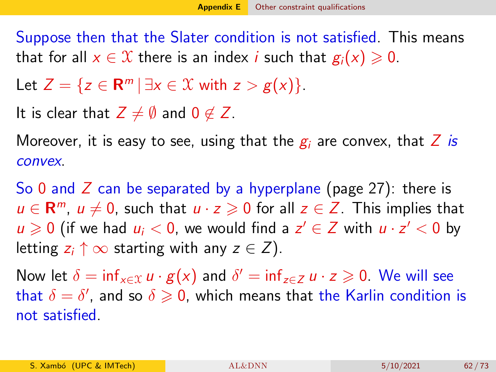Suppose then that the Slater condition is not satisfied. This means that for all  $x \in \mathcal{X}$  there is an index *i* such that  $g_i(x) \geq 0$ .

Let  $Z = \{ z \in \mathbb{R}^m \, | \, \exists x \in \mathcal{X} \text{ with } z > g(x) \}.$ 

It is clear that  $Z \neq \emptyset$  and  $0 \notin Z$ .

Moreover, it is easy to see, using that the  $g_i$  are convex, that Z is convex.

So 0 and  $\overline{Z}$  can be separated by a hyperplane (page 27): there is  $u \in \mathbb{R}^m$ ,  $u \neq 0$ , such that  $u \cdot z \geqslant 0$  for all  $z \in \mathbb{Z}$ . This implies that  $u \geqslant 0$  (if we had  $u_i < 0$ , we would find a  $z' \in Z$  with  $u \cdot z' < 0$  by letting  $z_i \uparrow \infty$  starting with any  $z \in Z$ ).

Now let  $\delta = \inf_{x \in \mathcal{X}} u \cdot g(x)$  and  $\delta' = \inf_{z \in Z} u \cdot z \geqslant 0$ . We will see that  $\delta=\delta'$ , and so  $\delta\geqslant 0$ , which means that the Karlin condition is not satisfied.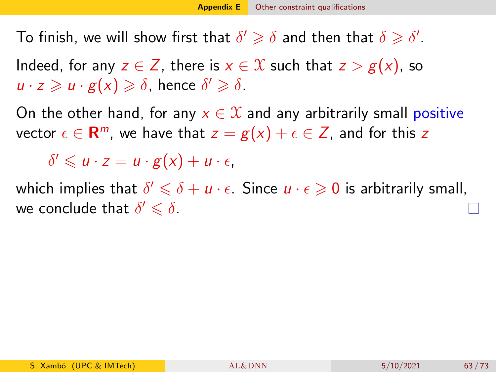To finish, we will show first that  $\delta' \geqslant \delta$  and then that  $\delta \geqslant \delta'.$ 

Indeed, for any  $z \in \mathbb{Z}$ , there is  $x \in \mathbb{X}$  such that  $z > g(x)$ , so  $u \cdot z \geqslant u \cdot g(x) \geqslant \delta$ , hence  $\delta' \geqslant \delta$ .

On the other hand, for any  $x \in \mathcal{X}$  and any arbitrarily small positive vector  $\epsilon \in \mathbf{R}^m$ , we have that  $z = g(x) + \epsilon \in Z$ , and for this  $z$ 

 $\delta' \leqslant u \cdot z = u \cdot g(x) + u \cdot \epsilon$ 

which implies that  $\delta' \leqslant \delta + u \cdot \epsilon$ . Since  $u \cdot \epsilon \geqslant 0$  is arbitrarily small, we conclude that  $\delta' \leqslant \delta$ .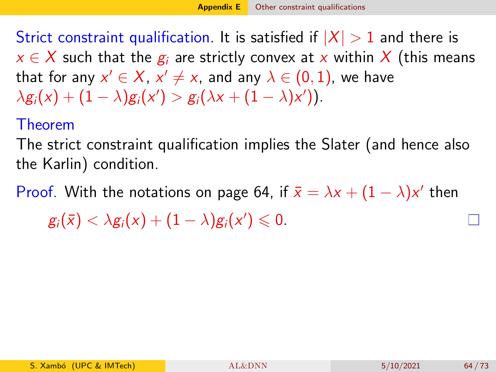Strict constraint qualification. It is satisfied if  $|X| > 1$  and there is  $x \in X$  such that the  $g_i$  are strictly convex at x within X (this means that for any  $x'\in X$ ,  $x'\neq x$ , and any  $\lambda\in (0,1)$ , we have  $\lambda g_i(x) + (1-\lambda)g_i(x') > g_i(\lambda x + (1-\lambda)x')).$ 

### Theorem

The strict constraint qualification implies the Slater (and hence also the Karlin) condition.

Proof. With the notations on page 64, if  $\bar{x} = \lambda x + (1 - \lambda)x'$  then

 $g_i(\bar{x}) < \lambda g_i(x) + (1 - \lambda) g_i(x') \leqslant 0.$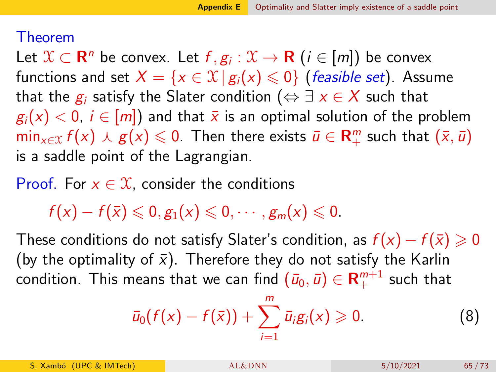#### <span id="page-64-0"></span>Theorem

Let  $\mathfrak{X}\subset\mathbf{R}^n$  be convex. Let  $f,g_i:\mathfrak{X}\to\mathbf{R}$   $(i\in[m])$  be convex functions and set  $X = \{x \in \mathcal{X} \mid g_i(x) \leq 0\}$  (*feasible set*). Assume that the  $g_i$  satisfy the Slater condition ( $\Leftrightarrow \exists x \in X$  such that  $g_i(x) < 0$ ,  $i \in [m]$  and that  $\overline{x}$  is an optimal solution of the problem  $\min_{x \in \mathcal{X}} f(x) \wedge g(x) \leqslant 0$ . Then there exists  $\bar{u} \in \mathsf{R}_+^m$  such that  $(\bar{x}, \bar{u})$ is a saddle point of the Lagrangian.

Proof. For  $x \in \mathcal{X}$ , consider the conditions

 $f(x) - f(\bar{x}) \leqslant 0, g_1(x) \leqslant 0, \cdots, g_m(x) \leqslant 0.$ 

These conditions do not satisfy Slater's condition, as  $f(x) - f(\bar{x}) \geq 0$ (by the optimality of  $\bar{x}$ ). Therefore they do not satisfy the Karlin condition. This means that we can find  $(\bar{u}_0,\bar{u})\in \mathsf{R}^{m+1}_+$  such that

<span id="page-64-1"></span>
$$
\bar{u}_0(f(x) - f(\bar{x})) + \sum_{i=1}^m \bar{u}_i g_i(x) \geq 0.
$$
 (8)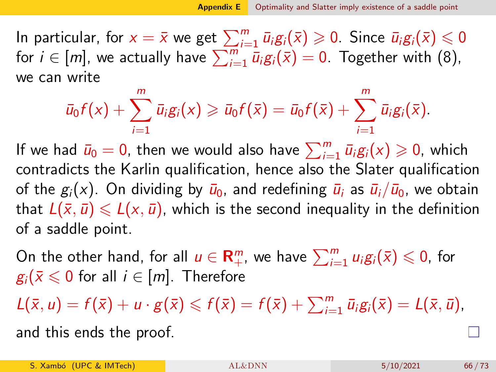In particular, for  $x=\bar{x}$  we get  $\sum_{i=1}^m \bar{u}_i g_i(\bar{x})\geqslant 0.$  Since  $\bar{u}_i g_i(\bar{x})\leqslant 0$ for  $i \in [m]$ , we actually have  $\sum_{i=1}^{m} \bar{u}_i g_i(\bar{x}) = 0$ . Together with [\(8\)](#page-64-1), we can write

$$
\bar{u}_0f(x)+\sum_{i=1}^m\bar{u}_ig_i(x)\geqslant \bar{u}_0f(\bar{x})=\bar{u}_0f(\bar{x})+\sum_{i=1}^m\bar{u}_ig_i(\bar{x}).
$$

If we had  $\bar{u}_0 = 0$ , then we would also have  $\sum_{i=1}^m \bar{u}_i g_i(x) \geqslant 0$ , which contradicts the Karlin qualification, hence also the Slater qualification of the  $g_i(x)$ . On dividing by  $\bar{u}_0$ , and redefining  $\bar{u}_i$  as  $\bar{u}_i/\bar{u}_0$ , we obtain that  $L(\bar{x}, \bar{u}) \le L(x, \bar{u})$ , which is the second inequality in the definition of a saddle point.

On the other hand, for all  $u\in{\mathbf R}_+^m$ , we have  $\sum_{i=1}^m u_i\mathcal{g}_i(\bar{\mathsf{x}})\leqslant 0$ , for  $g_i(\bar{x} \leq 0$  for all  $i \in [m]$ . Therefore

 $L(\bar{x}, u) = f(\bar{x}) + u \cdot g(\bar{x}) \leqslant f(\bar{x}) = f(\bar{x}) + \sum_{i=1}^{m} \bar{u}_i g_i(\bar{x}) = L(\bar{x}, \bar{u}),$ 

and this ends the proof.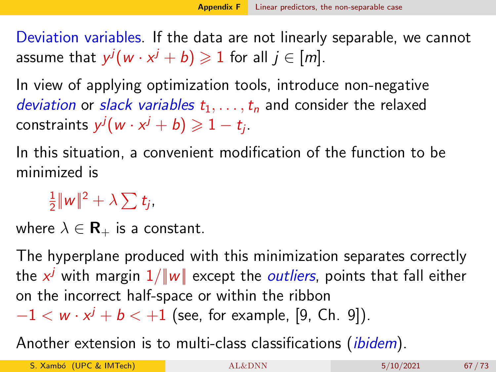<span id="page-66-1"></span><span id="page-66-0"></span>Deviation variables. If the data are not linearly separable, we cannot assume that  $y^j(w \cdot x^j + b) \geqslant 1$  for all  $j \in [m].$ 

In view of applying optimization tools, introduce non-negative deviation or slack variables  $t_1, \ldots, t_n$  and consider the relaxed constraints  $y^j(w \cdot x^j + b) \geqslant 1 - t_j$ .

In this situation, a convenient modification of the function to be minimized is

1  $\frac{1}{2}|\!|\!|w|\!|\!|^2+\lambda\sum t_j$ 

where  $\lambda \in \mathbf{R}_{+}$  is a constant.

The hyperplane produced with this minimization separates correctly the  $x^j$  with margin  $1/\|\textit{w}\|$  except the  $outliers$ , points that fall either on the incorrect half-space or within the ribbon

 $-1 < w \cdot x^{j} + b < +1$  (see, for example, [\[9,](#page-72-0) Ch. 9]).

Another extension is to multi-class classifications *(ibidem)*.

S. Xambó (UPC & IMTech)  $AL&DNN$  5/10/2021 67/73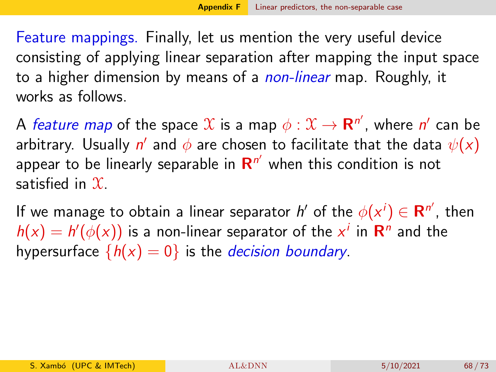Feature mappings. Finally, let us mention the very useful device consisting of applying linear separation after mapping the input space to a higher dimension by means of a *non-linear* map. Roughly, it works as follows.

A *feature map* of the space  $\mathfrak X$  is a map  $\phi:\mathfrak X\to\mathbf{R}^{n'}$ , where  $n'$  can be arbitrary. Usually  $n'$  and  $\phi$  are chosen to facilitate that the data  $\psi(x)$ appear to be linearly separable in  $\mathsf{R}^{n'}$  when this condition is not satisfied in  $\mathfrak{X}$ .

If we manage to obtain a linear separator  $h'$  of the  $\phi(x^i) \in \mathbf{R}^{n'}$ , then  $h(x) = h'(\phi(x))$  is a non-linear separator of the  $x^i$  in  $\mathbb{R}^n$  and the hypersurface  ${h(x) = 0}$  is the *decision boundary*.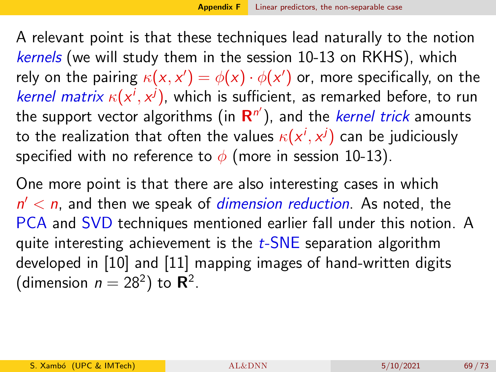A relevant point is that these techniques lead naturally to the notion kernels (we will study them in the session 10-13 on RKHS), which rely on the pairing  $\kappa({\pmb{\times}}, {\pmb{\times}}') = \phi({\pmb{\times}}) \cdot \phi({\pmb{\times}}')$  or, more specifically, on the *kernel matrix*  $\kappa(x^i, x^j)$ , which is sufficient, as remarked before, to run the support vector algorithms (in  $\mathsf{R}^{n'}$ ), and the *kernel trick* amounts to the realization that often the values  $\kappa(\mathsf{x}^i,\mathsf{x}^j)$  can be judiciously specified with no reference to  $\phi$  (more in session 10-13).

One more point is that there are also interesting cases in which  $n' < n$ , and then we speak of *dimension reduction*. As noted, the PCA and SVD techniques mentioned earlier fall under this notion. A quite interesting achievement is the  $t$ -SNE separation algorithm developed in [\[10\]](#page-72-1) and [\[11\]](#page-72-2) mapping images of hand-written digits (dimension  $n = 28^2$ ) to  $\mathbb{R}^2$ .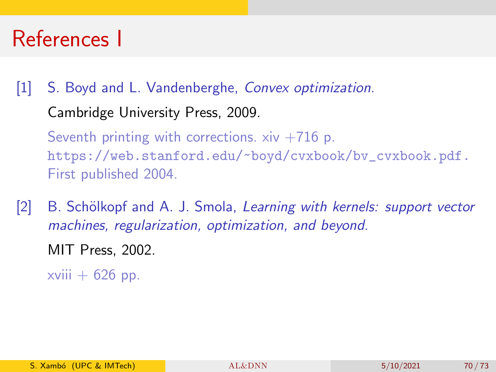# References I

[1] S. Boyd and L. Vandenberghe, Convex optimization. Cambridge University Press, 2009. Seventh printing with corrections.  $xiv +716$  p. [https://web.stanford.edu/~boyd/cvxbook/bv\\_cvxbook.pdf.](https://web.stanford.edu/~boyd/cvxbook/bv_cvxbook.pdf.) First published 2004.

[2] B. Schölkopf and A. J. Smola, Learning with kernels: support vector machines, regularization, optimization, and beyond.

MIT Press, 2002.

xviii  $+ 626$  pp.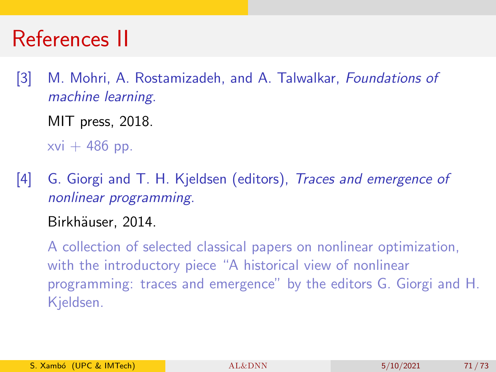# References II

- <span id="page-70-0"></span>[3] M. Mohri, A. Rostamizadeh, and A. Talwalkar, Foundations of machine learning.
	- MIT press, 2018.

 $xvi + 486$  pp.

[4] G. Giorgi and T. H. Kjeldsen (editors), *Traces and emergence of* nonlinear programming.

## Birkhäuser, 2014.

A collection of selected classical papers on nonlinear optimization, with the introductory piece "A historical view of nonlinear programming: traces and emergence" by the editors G. Giorgi and H. Kjeldsen.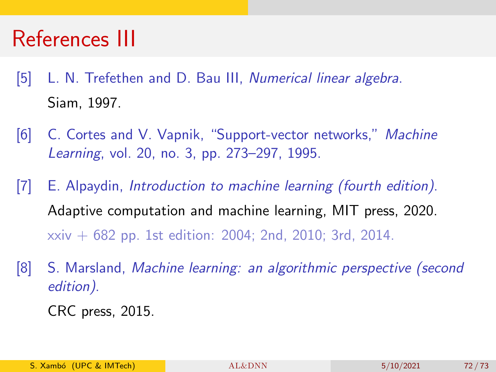# References III

- [5] L. N. Trefethen and D. Bau III, Numerical linear algebra. Siam, 1997.
- <span id="page-71-0"></span>[6] C. Cortes and V. Vapnik, "Support-vector networks," Machine Learning, vol. 20, no. 3, pp. 273–297, 1995.
- <span id="page-71-1"></span>[7] E. Alpaydin, Introduction to machine learning (fourth edition). Adaptive computation and machine learning, MIT press, 2020. xxiv + 682 pp. 1st edition: 2004; 2nd, 2010; 3rd, 2014.
- <span id="page-71-2"></span>[8] S. Marsland, Machine learning: an algorithmic perspective (second edition).

CRC press, 2015.